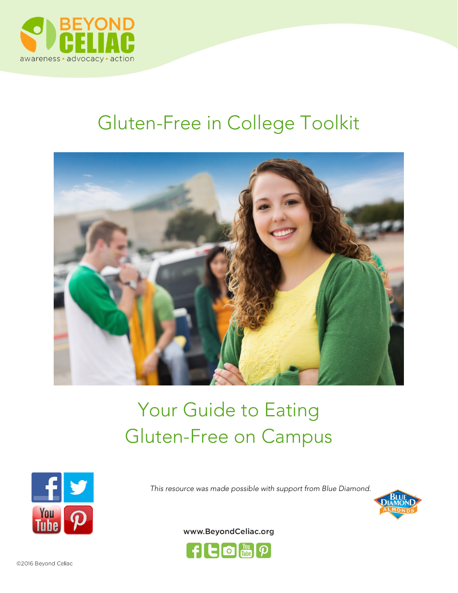

# Gluten-Free in College Toolkit



# Your Guide to Eating Gluten-Free on Campus



This resource was made possible with support from Blue Diamond.





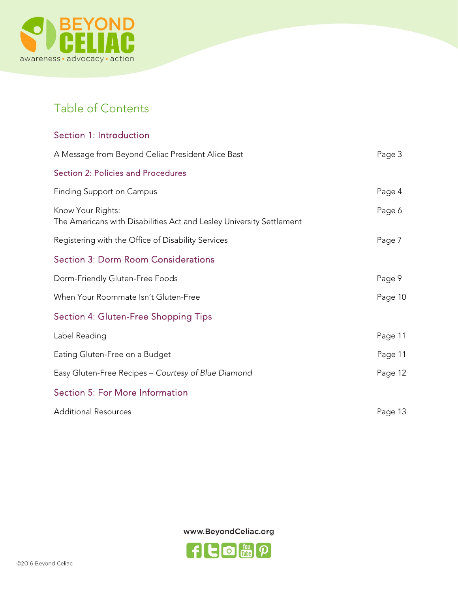

# Table of Contents

| Section 1: Introduction                                                                   |         |
|-------------------------------------------------------------------------------------------|---------|
| A Message from Beyond Celiac President Alice Bast                                         | Page 3  |
| <b>Section 2: Policies and Procedures</b>                                                 |         |
| <b>Finding Support on Campus</b>                                                          | Page 4  |
| Know Your Rights:<br>The Americans with Disabilities Act and Lesley University Settlement | Page 6  |
| Registering with the Office of Disability Services                                        | Page 7  |
| <b>Section 3: Dorm Room Considerations</b>                                                |         |
| Dorm-Friendly Gluten-Free Foods                                                           | Page 9  |
| When Your Roommate Isn't Gluten-Free                                                      | Page 10 |
| <b>Section 4: Gluten-Free Shopping Tips</b>                                               |         |
| Label Reading                                                                             | Page 11 |
| Eating Gluten-Free on a Budget                                                            | Page 11 |
| Easy Gluten-Free Recipes - Courtesy of Blue Diamond                                       | Page 12 |
| Section 5: For More Information                                                           |         |
| <b>Additional Resources</b>                                                               | Page 13 |

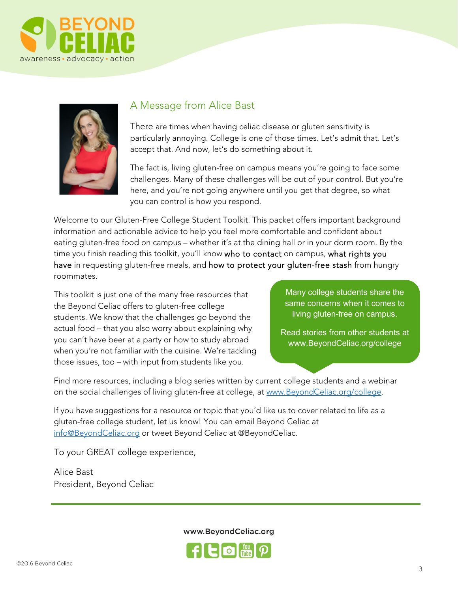



# A Message from Alice Bast

There are times when having celiac disease or gluten sensitivity is particularly annoying. College is one of those times. Let's admit that. Let's accept that. And now, let's do something about it.

The fact is, living gluten-free on campus means you're going to face some challenges. Many of these challenges will be out of your control. But you're here, and you're not going anywhere until you get that degree, so what you can control is how you respond.

Welcome to our Gluten-Free College Student Toolkit. This packet offers important background information and actionable advice to help you feel more comfortable and confident about eating gluten-free food on campus – whether it's at the dining hall or in your dorm room. By the time you finish reading this toolkit, you'll know who to contact on campus, what rights you have in requesting gluten-free meals, and how to protect your gluten-free stash from hungry roommates.

This toolkit is just one of the many free resources that the Beyond Celiac offers to gluten-free college students. We know that the challenges go beyond the actual food – that you also worry about explaining why you can't have beer at a party or how to study abroad when you're not familiar with the cuisine. We're tackling those issues, too – with input from students like you.

Many college students share the same concerns when it comes to living gluten-free on campus.

Read stories from other students at www.BeyondCeliac.org/college

Find more resources, including a blog series written by current college students and a webinar on the social challenges of living gluten-free at college, at www.BeyondCeliac.org/college.

If you have suggestions for a resource or topic that you'd like us to cover related to life as a gluten-free college student, let us know! You can email Beyond Celiac at info@BeyondCeliac.org or tweet Beyond Celiac at @BeyondCeliac.

To your GREAT college experience,

Alice Bast President, Beyond Celiac

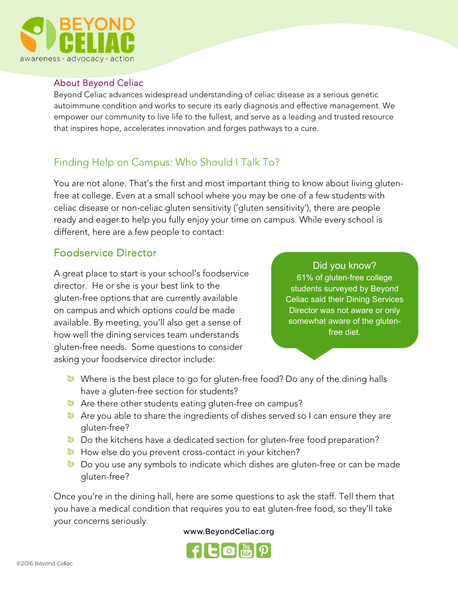

#### About Beyond Celiac

Beyond Celiac advances widespread understanding of celiac disease as a serious genetic autoimmune condition and works to secure its early diagnosis and effective management. We empower our community to live life to the fullest, and serve as a leading and trusted resource that inspires hope, accelerates innovation and forges pathways to a cure.

# Finding Help on Campus: Who Should I Talk To?

You are not alone. That's the first and most important thing to know about living glutenfree at college. Even at a small school where you may be one of a few students with celiac disease or non-celiac gluten sensitivity ('gluten sensitivity'), there are people ready and eager to help you fully enjoy your time on campus. While every school is different, here are a few people to contact:

# Foodservice Director

A great place to start is your school's foodservice director. He or she is your best link to the gluten-free options that are currently available on campus and which options could be made available. By meeting, you'll also get a sense of how well the dining services team understands gluten-free needs. Some questions to consider asking your foodservice director include:

#### Did you know?

61% of gluten-free college students surveyed by Beyond Celiac said their Dining Services Director was not aware or only somewhat aware of the glutenfree diet.

- Where is the best place to go for gluten-free food? Do any of the dining halls have a gluten-free section for students?
- **Are there other students eating gluten-free on campus?**
- **Are you able to share the ingredients of dishes served so I can ensure they are** gluten-free?
- Do the kitchens have a dedicated section for gluten-free food preparation?
- **How else do you prevent cross-contact in your kitchen?**
- Do you use any symbols to indicate which dishes are gluten-free or can be made gluten-free?

Once you're in the dining hall, here are some questions to ask the staff. Tell them that you have a medical condition that requires you to eat gluten-free food, so they'll take your concerns seriously.

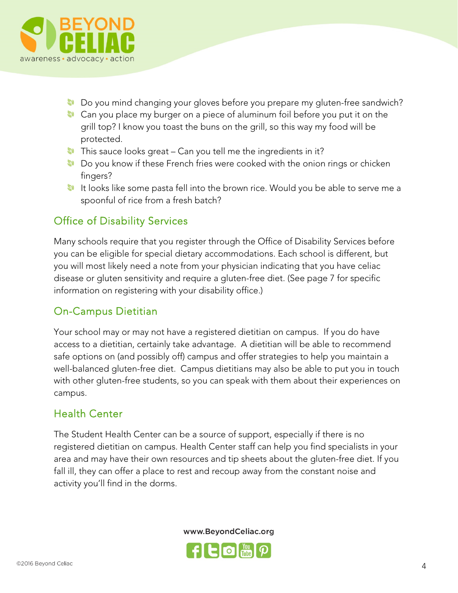

- Do you mind changing your gloves before you prepare my gluten-free sandwich?
- **Can you place my burger on a piece of aluminum foil before you put it on the** grill top? I know you toast the buns on the grill, so this way my food will be protected.
- $\bullet$  This sauce looks great Can you tell me the ingredients in it?
- **Do you know if these French fries were cooked with the onion rings or chicken** fingers?
- It looks like some pasta fell into the brown rice. Would you be able to serve me a spoonful of rice from a fresh batch?

# Office of Disability Services

Many schools require that you register through the Office of Disability Services before you can be eligible for special dietary accommodations. Each school is different, but you will most likely need a note from your physician indicating that you have celiac disease or gluten sensitivity and require a gluten-free diet. (See page 7 for specific information on registering with your disability office.)

# On-Campus Dietitian

Your school may or may not have a registered dietitian on campus. If you do have access to a dietitian, certainly take advantage. A dietitian will be able to recommend safe options on (and possibly off) campus and offer strategies to help you maintain a well-balanced gluten-free diet. Campus dietitians may also be able to put you in touch with other gluten-free students, so you can speak with them about their experiences on campus.

# Health Center

The Student Health Center can be a source of support, especially if there is no registered dietitian on campus. Health Center staff can help you find specialists in your area and may have their own resources and tip sheets about the gluten-free diet. If you fall ill, they can offer a place to rest and recoup away from the constant noise and activity you'll find in the dorms.

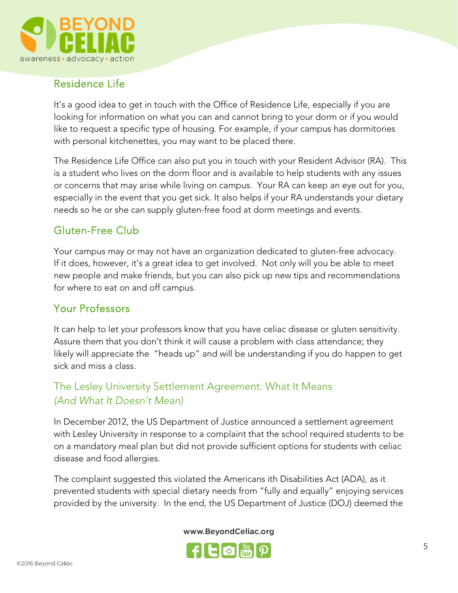

# Residence Life

It's a good idea to get in touch with the Office of Residence Life, especially if you are looking for information on what you can and cannot bring to your dorm or if you would like to request a specific type of housing. For example, if your campus has dormitories with personal kitchenettes, you may want to be placed there.

The Residence Life Office can also put you in touch with your Resident Advisor (RA). This is a student who lives on the dorm floor and is available to help students with any issues or concerns that may arise while living on campus. Your RA can keep an eye out for you, especially in the event that you get sick. It also helps if your RA understands your dietary needs so he or she can supply gluten-free food at dorm meetings and events.

# Gluten-Free Club

Your campus may or may not have an organization dedicated to gluten-free advocacy. If it does, however, it's a great idea to get involved. Not only will you be able to meet new people and make friends, but you can also pick up new tips and recommendations for where to eat on and off campus.

# Your Professors

It can help to let your professors know that you have celiac disease or gluten sensitivity. Assure them that you don't think it will cause a problem with class attendance; they likely will appreciate the "heads up" and will be understanding if you do happen to get sick and miss a class.

# The Lesley University Settlement Agreement: What It Means (And What It Doesn't Mean)

In December 2012, the US Department of Justice announced a settlement agreement with Lesley University in response to a complaint that the school required students to be on a mandatory meal plan but did not provide sufficient options for students with celiac disease and food allergies.

The complaint suggested this violated the Americans ith Disabilities Act (ADA), as it prevented students with special dietary needs from "fully and equally" enjoying services provided by the university. In the end, the US Department of Justice (DOJ) deemed the

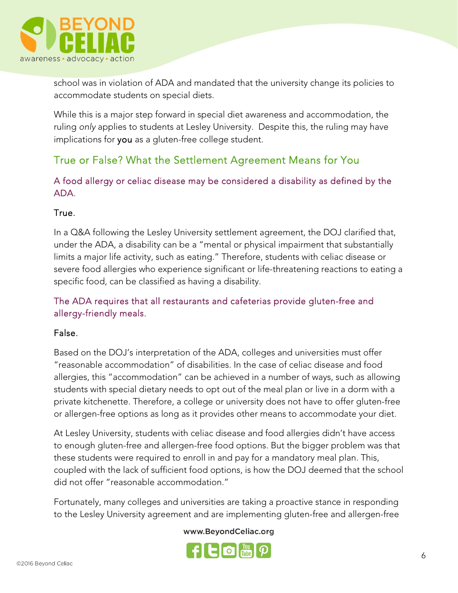

school was in violation of ADA and mandated that the university change its policies to accommodate students on special diets.

While this is a major step forward in special diet awareness and accommodation, the ruling only applies to students at Lesley University. Despite this, the ruling may have implications for you as a gluten-free college student.

# True or False? What the Settlement Agreement Means for You

A food allergy or celiac disease may be considered a disability as defined by the ADA.

## True.

In a Q&A following the Lesley University settlement agreement, the DOJ clarified that, under the ADA, a disability can be a "mental or physical impairment that substantially limits a major life activity, such as eating." Therefore, students with celiac disease or severe food allergies who experience significant or life-threatening reactions to eating a specific food, can be classified as having a disability.

## The ADA requires that all restaurants and cafeterias provide gluten-free and allergy-friendly meals.

#### False.

Based on the DOJ's interpretation of the ADA, colleges and universities must offer "reasonable accommodation" of disabilities. In the case of celiac disease and food allergies, this "accommodation" can be achieved in a number of ways, such as allowing students with special dietary needs to opt out of the meal plan or live in a dorm with a private kitchenette. Therefore, a college or university does not have to offer gluten-free or allergen-free options as long as it provides other means to accommodate your diet.

At Lesley University, students with celiac disease and food allergies didn't have access to enough gluten-free and allergen-free food options. But the bigger problem was that these students were required to enroll in and pay for a mandatory meal plan. This, coupled with the lack of sufficient food options, is how the DOJ deemed that the school did not offer "reasonable accommodation."

Fortunately, many colleges and universities are taking a proactive stance in responding to the Lesley University agreement and are implementing gluten-free and allergen-free

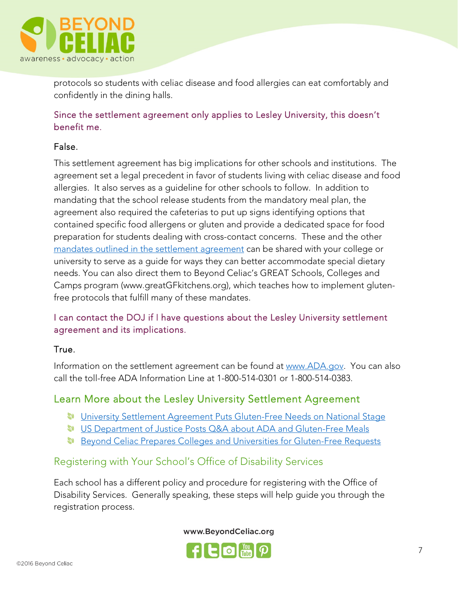

protocols so students with celiac disease and food allergies can eat comfortably and confidently in the dining halls.

#### Since the settlement agreement only applies to Lesley University, this doesn't benefit me.

#### False.

This settlement agreement has big implications for other schools and institutions. The agreement set a legal precedent in favor of students living with celiac disease and food allergies. It also serves as a guideline for other schools to follow. In addition to mandating that the school release students from the mandatory meal plan, the agreement also required the cafeterias to put up signs identifying options that contained specific food allergens or gluten and provide a dedicated space for food preparation for students dealing with cross-contact concerns. These and the other mandates outlined in the settlement agreement can be shared with your college or university to serve as a guide for ways they can better accommodate special dietary needs. You can also direct them to Beyond Celiac's GREAT Schools, Colleges and Camps program (www.greatGFkitchens.org), which teaches how to implement glutenfree protocols that fulfill many of these mandates.

#### I can contact the DOJ if I have questions about the Lesley University settlement agreement and its implications.

#### True.

Information on the settlement agreement can be found at www.ADA.gov. You can also call the toll-free ADA Information Line at 1-800-514-0301 or 1-800-514-0383.

# Learn More about the Lesley University Settlement Agreement

- University Settlement Agreement Puts Gluten-Free Needs on National Stage
- **US Department of Justice Posts Q&A about ADA and Gluten-Free Meals**
- **Beyond Celiac Prepares Colleges and Universities for Gluten-Free Requests**

# Registering with Your School's Office of Disability Services

Each school has a different policy and procedure for registering with the Office of Disability Services. Generally speaking, these steps will help guide you through the registration process.

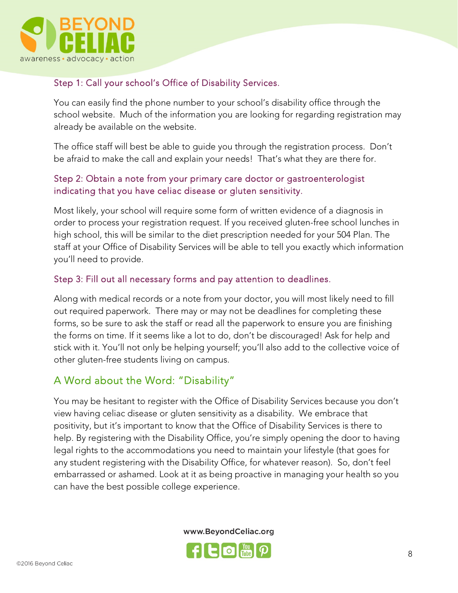

## Step 1: Call your school's Office of Disability Services.

You can easily find the phone number to your school's disability office through the school website. Much of the information you are looking for regarding registration may already be available on the website.

The office staff will best be able to guide you through the registration process. Don't be afraid to make the call and explain your needs! That's what they are there for.

#### Step 2: Obtain a note from your primary care doctor or gastroenterologist indicating that you have celiac disease or gluten sensitivity.

Most likely, your school will require some form of written evidence of a diagnosis in order to process your registration request. If you received gluten-free school lunches in high school, this will be similar to the diet prescription needed for your 504 Plan. The staff at your Office of Disability Services will be able to tell you exactly which information you'll need to provide.

#### Step 3: Fill out all necessary forms and pay attention to deadlines.

Along with medical records or a note from your doctor, you will most likely need to fill out required paperwork. There may or may not be deadlines for completing these forms, so be sure to ask the staff or read all the paperwork to ensure you are finishing the forms on time. If it seems like a lot to do, don't be discouraged! Ask for help and stick with it. You'll not only be helping yourself; you'll also add to the collective voice of other gluten-free students living on campus.

# A Word about the Word: "Disability"

You may be hesitant to register with the Office of Disability Services because you don't view having celiac disease or gluten sensitivity as a disability. We embrace that positivity, but it's important to know that the Office of Disability Services is there to help. By registering with the Disability Office, you're simply opening the door to having legal rights to the accommodations you need to maintain your lifestyle (that goes for any student registering with the Disability Office, for whatever reason). So, don't feel embarrassed or ashamed. Look at it as being proactive in managing your health so you can have the best possible college experience.

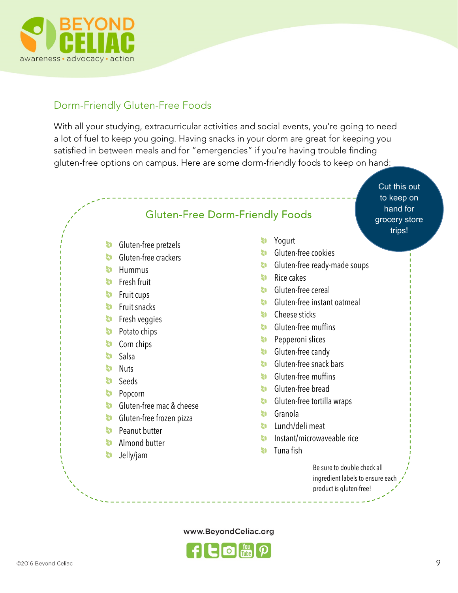

# Dorm-Friendly Gluten-Free Foods

With all your studying, extracurricular activities and social events, you're going to need a lot of fuel to keep you going. Having snacks in your dorm are great for keeping you satisfied in between meals and for "emergencies" if you're having trouble finding gluten-free options on campus. Here are some dorm-friendly foods to keep on hand:

> Cut this out to keep on hand for grocery store trips!

# Gluten-Free Dorm-Friendly Foods

- **Gluten-free pretzels**
- **Gluten-free crackers**
- $\bullet$  Hummus
- **S** Fresh fruit
- $\bullet$  Fruit cups
- **S** Fruit snacks
- **S** Fresh veggies
- **Potato chips**
- **Corn** chips
- **Salsa**
- **Nuts**
- Seeds
- **Popcorn**
- Gluten-free mac & cheese
- **Gluten-free frozen pizza**
- **Peanut butter**
- **Almond butter**
- Jelly/jam
- **Yogurt**
- **S** Gluten-free cookies
- **S** Gluten-free ready-made soups
- $\bullet$  Rice cakes
- **S** Gluten-free cereal
- Gluten-free instant oatmeal
- **Cheese sticks**
- **S** Gluten-free muffins
- **Pepperoni slices**
- **Gluten-free candy**
- **S** Gluten-free snack bars
- **S** Gluten-free muffins
- **S** Gluten-free bread
- **Gluten-free tortilla wraps**
- **Granola**
- Lunch/deli meat
- Instant/microwaveable rice **D**
- **S** Tuna fish

Be sure to double check all ingredient labels to ensure each product is gluten-free!

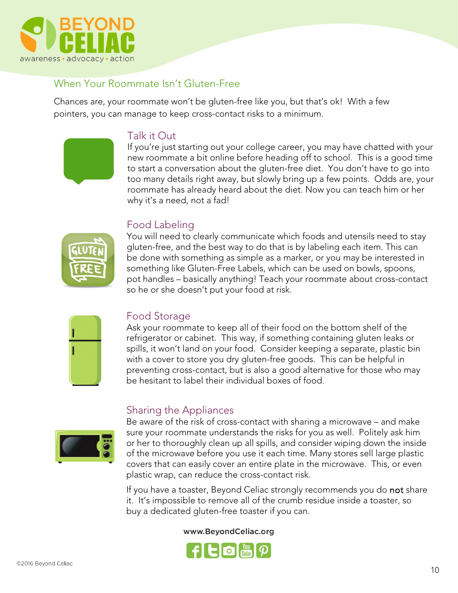

# When Your Roommate Isn't Gluten-Free

Chances are, your roommate won't be gluten-free like you, but that's ok! With a few pointers, you can manage to keep cross-contact risks to a minimum.

# Talk it Out

If you're just starting out your college career, you may have chatted with your new roommate a bit online before heading off to school. This is a good time to start a conversation about the gluten-free diet. You don't have to go into too many details right away, but slowly bring up a few points. Odds are, your roommate has already heard about the diet. Now you can teach him or her why it's a need, not a fad!

# Food Labeling



You will need to clearly communicate which foods and utensils need to stay gluten-free, and the best way to do that is by labeling each item. This can be done with something as simple as a marker, or you may be interested in something like Gluten-Free Labels, which can be used on bowls, spoons, pot handles – basically anything! Teach your roommate about cross-contact so he or she doesn't put your food at risk.

| 1 |  |
|---|--|
| ı |  |
|   |  |
|   |  |

#### Food Storage

Ask your roommate to keep all of their food on the bottom shelf of the refrigerator or cabinet. This way, if something containing gluten leaks or spills, it won't land on your food. Consider keeping a separate, plastic bin with a cover to store you dry gluten-free goods. This can be helpful in preventing cross-contact, but is also a good alternative for those who may be hesitant to label their individual boxes of food.

# Sharing the Appliances



Be aware of the risk of cross-contact with sharing a microwave – and make sure your roommate understands the risks for you as well. Politely ask him or her to thoroughly clean up all spills, and consider wiping down the inside of the microwave before you use it each time. Many stores sell large plastic covers that can easily cover an entire plate in the microwave. This, or even plastic wrap, can reduce the cross-contact risk.

If you have a toaster, Beyond Celiac strongly recommends you do not share it. It's impossible to remove all of the crumb residue inside a toaster, so buy a dedicated gluten-free toaster if you can.

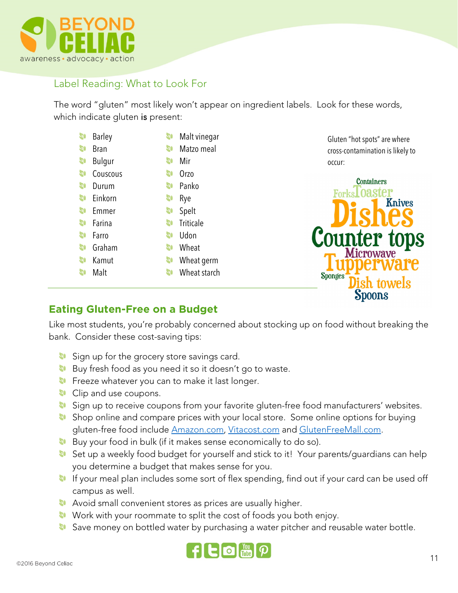

# Label Reading: What to Look For

The word "gluten" most likely won't appear on ingredient labels. Look for these words, which indicate gluten is present:

| 9         | <b>Barley</b> | S         | Malt vinegar     |
|-----------|---------------|-----------|------------------|
| 9         | Bran          | <b>S</b>  | Matzo meal       |
| <b>SI</b> | Bulgur        | 3         | Mir              |
| 9         | Couscous      | 30        | Orzo             |
| 9         | Durum         | 30        | Panko            |
| 9         | Einkorn       | 30        | Rye              |
| 9         | Emmer         | <b>SI</b> | Spelt            |
| 9         | Farina        | <b>Q)</b> | <b>Triticale</b> |
| 9         | Farro         | <b>Q)</b> | Udon             |
| 90        | Graham        | <b>Q)</b> | Wheat            |
| 90        | Kamut         | 30        | Wheat germ       |
| 20        | Malt          | <b>Q)</b> | Wheat starch     |
|           |               |           |                  |

Gluten "hot spots" are where cross-contamination is likely to occur:



#### **Eating Gluten-Free on a Budget**

Like most students, you're probably concerned about stocking up on food without breaking the bank. Consider these cost-saving tips:

- Sign up for the grocery store savings card.
- Buy fresh food as you need it so it doesn't go to waste.
- **Freeze whatever you can to make it last longer.**
- **Clip and use coupons.**
- 30 Sign up to receive coupons from your favorite gluten-free food manufacturers' websites.
- Shop online and compare prices with your local store. Some online options for buying 90 gluten-free food include Amazon.com, Vitacost.com and GlutenFreeMall.com.
- **Buy your food in bulk (if it makes sense economically to do so).**
- Set up a weekly food budget for yourself and stick to it! Your parents/guardians can help **SO** you determine a budget that makes sense for you.
- If your meal plan includes some sort of flex spending, find out if your card can be used off campus as well.
- **Avoid small convenient stores as prices are usually higher.**
- Work with your roommate to split the cost of foods you both enjoy.
- Save money on bottled water by purchasing a water pitcher and reusable water bottle.

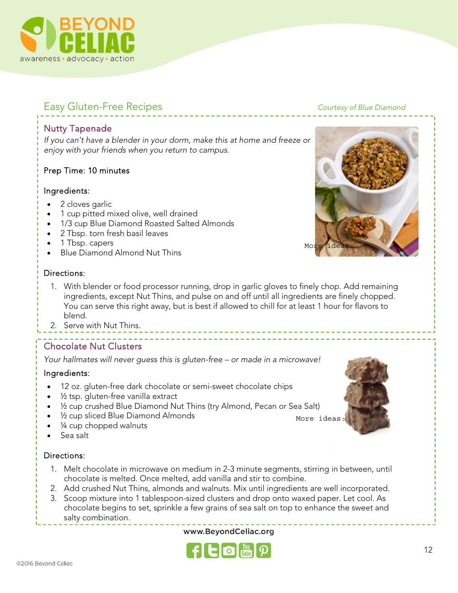

# Easy Gluten-Free Recipes **Courtesy** of Blue Diamond

#### Nutty Tapenade

If you can't have a blender in your dorm, make this at home and freeze or enjoy with your friends when you return to campus.

#### Prep Time: 10 minutes

#### Ingredients:

- 2 cloves garlic
- 1 cup pitted mixed olive, well drained
- 1/3 cup Blue Diamond Roasted Salted Almonds
- 2 Tbsp. torn fresh basil leaves
- 1 Tbsp. capers
- Blue Diamond Almond Nut Thins

#### Directions:

- 1. With blender or food processor running, drop in garlic gloves to finely chop. Add remaining ingredients, except Nut Thins, and pulse on and off until all ingredients are finely chopped. You can serve this right away, but is best if allowed to chill for at least 1 hour for flavors to blend.
- 2. Serve with Nut Thins.

# Chocolate Nut Clusters

Your hallmates will never guess this is gluten-free – or made in a microwave!

#### Ingredients:

- 12 oz. gluten-free dark chocolate or semi-sweet chocolate chips
- $\frac{1}{2}$  tsp. gluten-free vanilla extract
- ½ cup crushed Blue Diamond Nut Thins (try Almond, Pecan or Sea Salt)
- 1/2 cup sliced Blue Diamond Almonds
- 1/4 cup chopped walnuts
- Sea salt

#### Directions:

- 1. Melt chocolate in microwave on medium in 2-3 minute segments, stirring in between, until chocolate is melted. Once melted, add vanilla and stir to combine.
- 2. Add crushed Nut Thins, almonds and walnuts. Mix until ingredients are well incorporated.
- 3. Scoop mixture into 1 tablespoon-sized clusters and drop onto waxed paper. Let cool. As chocolate begins to set, sprinkle a few grains of sea salt on top to enhance the sweet and salty combination.

www.BeyondCeliac.org







More ideas: